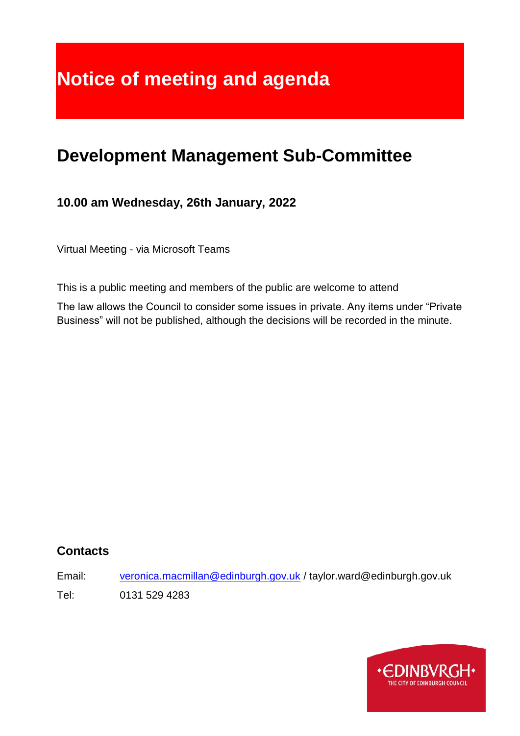# **Notice of meeting and agenda**

## **Development Management Sub-Committee**

## **10.00 am Wednesday, 26th January, 2022**

Virtual Meeting - via Microsoft Teams

This is a public meeting and members of the public are welcome to attend

The law allows the Council to consider some issues in private. Any items under "Private Business" will not be published, although the decisions will be recorded in the minute.

#### **Contacts**

Email: [veronica.macmillan@edinburgh.gov.uk](mailto:veronica.macmillan@edinburgh.gov.uk) / taylor.ward@edinburgh.gov.uk Tel: 0131 529 4283

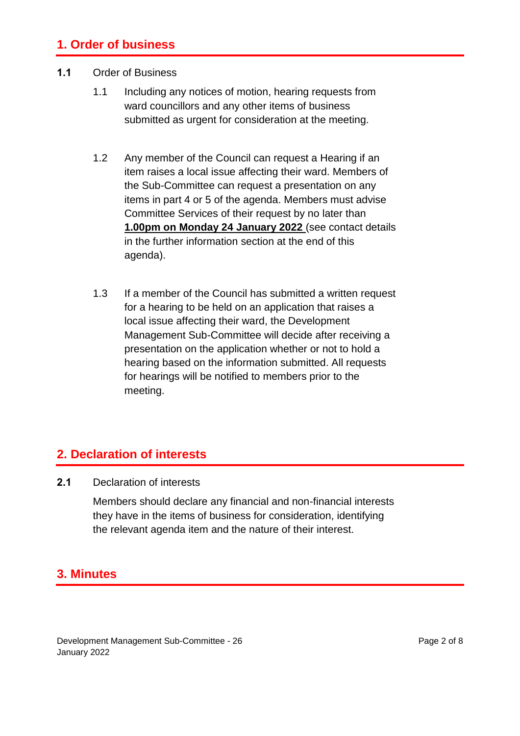#### **1. Order of business**

#### **1.1** Order of Business

- 1.1 Including any notices of motion, hearing requests from ward councillors and any other items of business submitted as urgent for consideration at the meeting.
- 1.2 Any member of the Council can request a Hearing if an item raises a local issue affecting their ward. Members of the Sub-Committee can request a presentation on any items in part 4 or 5 of the agenda. Members must advise Committee Services of their request by no later than **1.00pm on Monday 24 January 2022** (see contact details in the further information section at the end of this agenda).
- 1.3 If a member of the Council has submitted a written request for a hearing to be held on an application that raises a local issue affecting their ward, the Development Management Sub-Committee will decide after receiving a presentation on the application whether or not to hold a hearing based on the information submitted. All requests for hearings will be notified to members prior to the meeting.

#### **2. Declaration of interests**

**2.1** Declaration of interests

Members should declare any financial and non-financial interests they have in the items of business for consideration, identifying the relevant agenda item and the nature of their interest.

#### **3. Minutes**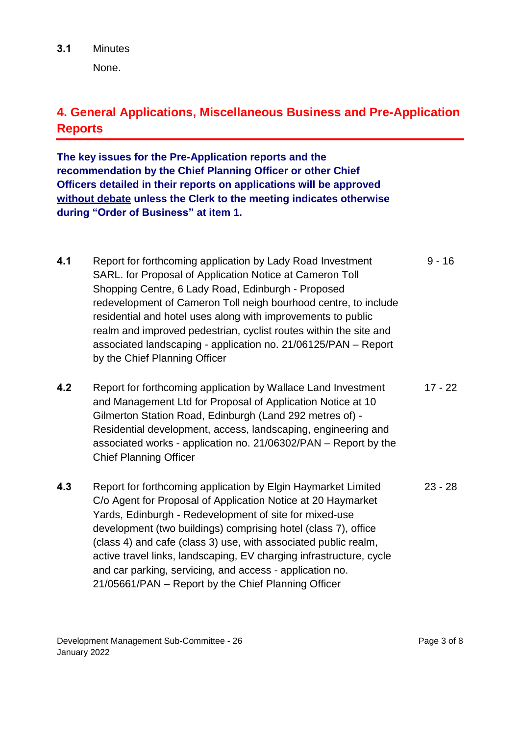None.

## **4. General Applications, Miscellaneous Business and Pre-Application Reports**

**The key issues for the Pre-Application reports and the recommendation by the Chief Planning Officer or other Chief Officers detailed in their reports on applications will be approved without debate unless the Clerk to the meeting indicates otherwise during "Order of Business" at item 1.** 

- **4.1** Report for forthcoming application by Lady Road Investment SARL. for Proposal of Application Notice at Cameron Toll Shopping Centre, 6 Lady Road, Edinburgh - Proposed redevelopment of Cameron Toll neigh bourhood centre, to include residential and hotel uses along with improvements to public realm and improved pedestrian, cyclist routes within the site and associated landscaping - application no. 21/06125/PAN – Report by the Chief Planning Officer  $9 - 16$
- **4.2** Report for forthcoming application by Wallace Land Investment and Management Ltd for Proposal of Application Notice at 10 Gilmerton Station Road, Edinburgh (Land 292 metres of) - Residential development, access, landscaping, engineering and associated works - application no. 21/06302/PAN – Report by the Chief Planning Officer 17 - 22
- **4.3** Report for forthcoming application by Elgin Haymarket Limited C/o Agent for Proposal of Application Notice at 20 Haymarket Yards, Edinburgh - Redevelopment of site for mixed-use development (two buildings) comprising hotel (class 7), office (class 4) and cafe (class 3) use, with associated public realm, active travel links, landscaping, EV charging infrastructure, cycle and car parking, servicing, and access - application no. 21/05661/PAN – Report by the Chief Planning Officer 23 - 28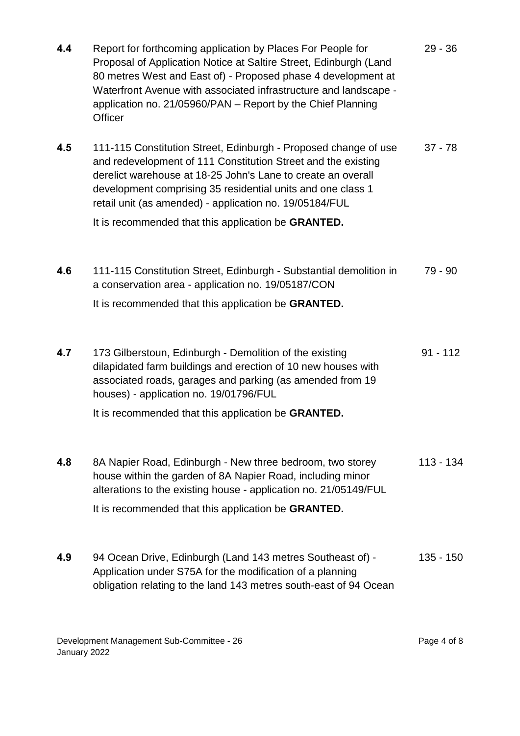| 4.4 | Report for forthcoming application by Places For People for<br>Proposal of Application Notice at Saltire Street, Edinburgh (Land<br>80 metres West and East of) - Proposed phase 4 development at<br>Waterfront Avenue with associated infrastructure and landscape -<br>application no. 21/05960/PAN - Report by the Chief Planning<br><b>Officer</b>                                    | $29 - 36$  |
|-----|-------------------------------------------------------------------------------------------------------------------------------------------------------------------------------------------------------------------------------------------------------------------------------------------------------------------------------------------------------------------------------------------|------------|
| 4.5 | 111-115 Constitution Street, Edinburgh - Proposed change of use<br>and redevelopment of 111 Constitution Street and the existing<br>derelict warehouse at 18-25 John's Lane to create an overall<br>development comprising 35 residential units and one class 1<br>retail unit (as amended) - application no. 19/05184/FUL<br>It is recommended that this application be <b>GRANTED</b> . | $37 - 78$  |
| 4.6 | 111-115 Constitution Street, Edinburgh - Substantial demolition in<br>a conservation area - application no. 19/05187/CON<br>It is recommended that this application be <b>GRANTED</b> .                                                                                                                                                                                                   | $79 - 90$  |
| 4.7 | 173 Gilberstoun, Edinburgh - Demolition of the existing<br>dilapidated farm buildings and erection of 10 new houses with<br>associated roads, garages and parking (as amended from 19<br>houses) - application no. 19/01796/FUL<br>It is recommended that this application be GRANTED.                                                                                                    | $91 - 112$ |
| 4.8 | 8A Napier Road, Edinburgh - New three bedroom, two storey<br>house within the garden of 8A Napier Road, including minor<br>alterations to the existing house - application no. 21/05149/FUL<br>It is recommended that this application be <b>GRANTED</b> .                                                                                                                                | 113 - 134  |
| 4.9 | 94 Ocean Drive, Edinburgh (Land 143 metres Southeast of) -<br>Application under S75A for the modification of a planning<br>obligation relating to the land 143 metres south-east of 94 Ocean                                                                                                                                                                                              | 135 - 150  |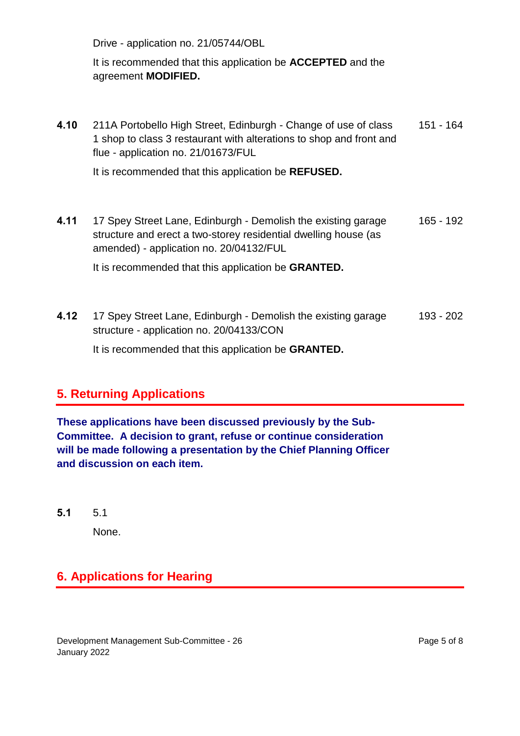Drive - application no. 21/05744/OBL

#### It is recommended that this application be **ACCEPTED** and the agreement **MODIFIED.**

| 4.10 | 211A Portobello High Street, Edinburgh - Change of use of class<br>1 shop to class 3 restaurant with alterations to shop and front and<br>flue - application no. 21/01673/FUL | 151 - 164 |
|------|-------------------------------------------------------------------------------------------------------------------------------------------------------------------------------|-----------|
|      | It is recommended that this application be <b>REFUSED</b> .                                                                                                                   |           |

**4.11** 17 Spey Street Lane, Edinburgh - Demolish the existing garage structure and erect a two-storey residential dwelling house (as amended) - application no. 20/04132/FUL 165 - 192

It is recommended that this application be **GRANTED.** 

**4.12** 17 Spey Street Lane, Edinburgh - Demolish the existing garage structure - application no. 20/04133/CON It is recommended that this application be **GRANTED.**  193 - 202

## **5. Returning Applications**

**These applications have been discussed previously by the Sub-Committee. A decision to grant, refuse or continue consideration will be made following a presentation by the Chief Planning Officer and discussion on each item.**

**5.1** 5.1

None.

## **6. Applications for Hearing**

Development Management Sub-Committee - 26 January 2022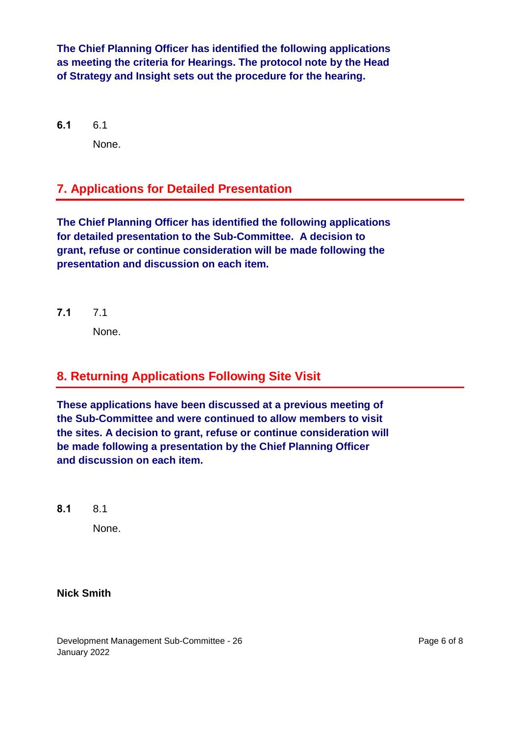**The Chief Planning Officer has identified the following applications as meeting the criteria for Hearings. The protocol note by the Head of Strategy and Insight sets out the procedure for the hearing.**

**6.1** 6.1 None.

## **7. Applications for Detailed Presentation**

**The Chief Planning Officer has identified the following applications for detailed presentation to the Sub-Committee. A decision to grant, refuse or continue consideration will be made following the presentation and discussion on each item.**

**7.1** 7.1

None.

## **8. Returning Applications Following Site Visit**

**These applications have been discussed at a previous meeting of the Sub-Committee and were continued to allow members to visit the sites. A decision to grant, refuse or continue consideration will be made following a presentation by the Chief Planning Officer and discussion on each item.**

**8.1** 8.1

None.

#### **Nick Smith**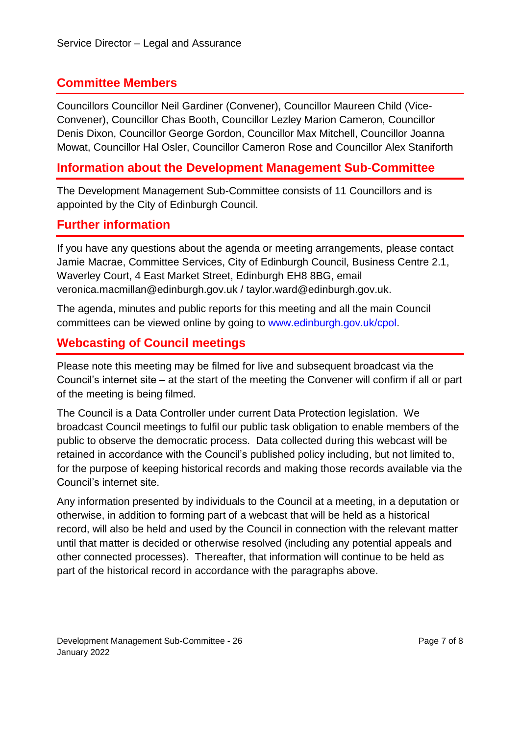#### **Committee Members**

Councillors Councillor Neil Gardiner (Convener), Councillor Maureen Child (Vice-Convener), Councillor Chas Booth, Councillor Lezley Marion Cameron, Councillor Denis Dixon, Councillor George Gordon, Councillor Max Mitchell, Councillor Joanna Mowat, Councillor Hal Osler, Councillor Cameron Rose and Councillor Alex Staniforth

#### **Information about the Development Management Sub-Committee**

The Development Management Sub-Committee consists of 11 Councillors and is appointed by the City of Edinburgh Council.

#### **Further information**

If you have any questions about the agenda or meeting arrangements, please contact Jamie Macrae, Committee Services, City of Edinburgh Council, Business Centre 2.1, Waverley Court, 4 East Market Street, Edinburgh EH8 8BG, email veronica.macmillan@edinburgh.gov.uk / taylor.ward@edinburgh.gov.uk.

The agenda, minutes and public reports for this meeting and all the main Council committees can be viewed online by going to [www.edinburgh.gov.uk/cpol.](http://www.edinburgh.gov.uk/cpol)

### **Webcasting of Council meetings**

Please note this meeting may be filmed for live and subsequent broadcast via the Council's internet site – at the start of the meeting the Convener will confirm if all or part of the meeting is being filmed.

The Council is a Data Controller under current Data Protection legislation. We broadcast Council meetings to fulfil our public task obligation to enable members of the public to observe the democratic process. Data collected during this webcast will be retained in accordance with the Council's published policy including, but not limited to, for the purpose of keeping historical records and making those records available via the Council's internet site.

Any information presented by individuals to the Council at a meeting, in a deputation or otherwise, in addition to forming part of a webcast that will be held as a historical record, will also be held and used by the Council in connection with the relevant matter until that matter is decided or otherwise resolved (including any potential appeals and other connected processes). Thereafter, that information will continue to be held as part of the historical record in accordance with the paragraphs above.